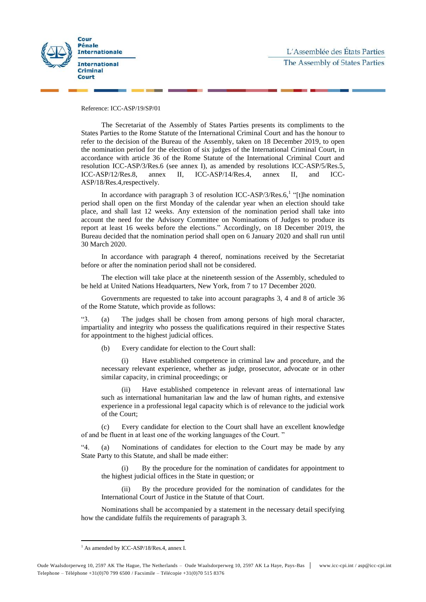



#### Reference: ICC-ASP/19/SP/01

The Secretariat of the Assembly of States Parties presents its compliments to the States Parties to the Rome Statute of the International Criminal Court and has the honour to refer to the decision of the Bureau of the Assembly, taken on 18 December 2019, to open the nomination period for the election of six judges of the International Criminal Court, in accordance with article 36 of the Rome Statute of the International Criminal Court and resolution ICC-ASP/3/Res.6 (see annex I), as amended by resolutions ICC-ASP/5/Res.5, ICC-ASP/12/Res.8, annex II, ICC-ASP/14/Res.4, annex II, and ICC-ASP/18/Res.4,respectively.

In accordance with paragraph 3 of resolution ICC-ASP/3/Res.6,<sup>1</sup> "[t]he nomination period shall open on the first Monday of the calendar year when an election should take place, and shall last 12 weeks. Any extension of the nomination period shall take into account the need for the Advisory Committee on Nominations of Judges to produce its report at least 16 weeks before the elections." Accordingly, on 18 December 2019, the Bureau decided that the nomination period shall open on 6 January 2020 and shall run until 30 March 2020.

In accordance with paragraph 4 thereof, nominations received by the Secretariat before or after the nomination period shall not be considered.

The election will take place at the nineteenth session of the Assembly, scheduled to be held at United Nations Headquarters, New York, from 7 to 17 December 2020.

Governments are requested to take into account paragraphs 3, 4 and 8 of article 36 of the Rome Statute, which provide as follows:

"3. (a) The judges shall be chosen from among persons of high moral character, impartiality and integrity who possess the qualifications required in their respective States for appointment to the highest judicial offices.

(b) Every candidate for election to the Court shall:

(i) Have established competence in criminal law and procedure, and the necessary relevant experience, whether as judge, prosecutor, advocate or in other similar capacity, in criminal proceedings; or

(ii) Have established competence in relevant areas of international law such as international humanitarian law and the law of human rights, and extensive experience in a professional legal capacity which is of relevance to the judicial work of the Court;

(c) Every candidate for election to the Court shall have an excellent knowledge of and be fluent in at least one of the working languages of the Court. "

"4. (a) Nominations of candidates for election to the Court may be made by any State Party to this Statute, and shall be made either:

(i) By the procedure for the nomination of candidates for appointment to the highest judicial offices in the State in question; or

(ii) By the procedure provided for the nomination of candidates for the International Court of Justice in the Statute of that Court.

Nominations shall be accompanied by a statement in the necessary detail specifying how the candidate fulfils the requirements of paragraph 3.

<sup>&</sup>lt;sup>1</sup> As amended by ICC-ASP/18/Res.4, annex I.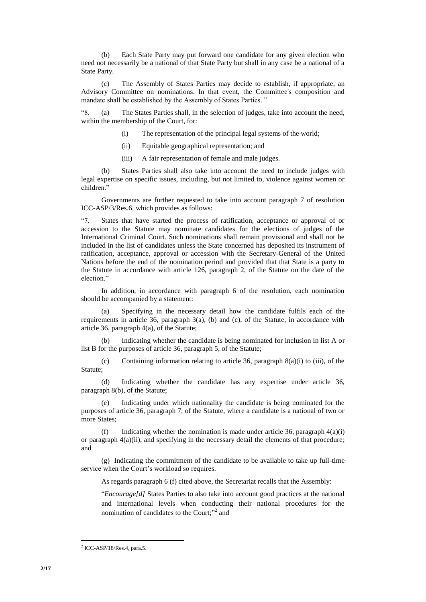(b) Each State Party may put forward one candidate for any given election who need not necessarily be a national of that State Party but shall in any case be a national of a State Party.

(c) The Assembly of States Parties may decide to establish, if appropriate, an Advisory Committee on nominations. In that event, the Committee's composition and mandate shall be established by the Assembly of States Parties. "

"8. (a) The States Parties shall, in the selection of judges, take into account the need, within the membership of the Court, for:

- (i) The representation of the principal legal systems of the world;
- (ii) Equitable geographical representation; and
- (iii) A fair representation of female and male judges.

(b) States Parties shall also take into account the need to include judges with legal expertise on specific issues, including, but not limited to, violence against women or children."

Governments are further requested to take into account paragraph 7 of resolution ICC-ASP/3/Res.6, which provides as follows:

States that have started the process of ratification, acceptance or approval of or accession to the Statute may nominate candidates for the elections of judges of the International Criminal Court. Such nominations shall remain provisional and shall not be included in the list of candidates unless the State concerned has deposited its instrument of ratification, acceptance, approval or accession with the Secretary-General of the United Nations before the end of the nomination period and provided that that State is a party to the Statute in accordance with article 126, paragraph 2, of the Statute on the date of the election."

In addition, in accordance with paragraph 6 of the resolution, each nomination should be accompanied by a statement:

(a) Specifying in the necessary detail how the candidate fulfils each of the requirements in article 36, paragraph 3(a), (b) and (c), of the Statute, in accordance with article 36, paragraph 4(a), of the Statute;

(b) Indicating whether the candidate is being nominated for inclusion in list A or list B for the purposes of article 36, paragraph 5, of the Statute;

(c) Containing information relating to article 36, paragraph 8(a)(i) to (iii), of the Statute;

(d) Indicating whether the candidate has any expertise under article 36, paragraph 8(b), of the Statute;

Indicating under which nationality the candidate is being nominated for the purposes of article 36, paragraph 7, of the Statute, where a candidate is a national of two or more States;

(f) Indicating whether the nomination is made under article 36, paragraph  $4(a)(i)$ or paragraph  $4(a)(ii)$ , and specifying in the necessary detail the elements of that procedure; and

(g) Indicating the commitment of the candidate to be available to take up full-time service when the Court's workload so requires.

As regards paragraph 6 (f) cited above, the Secretariat recalls that the Assembly:

"*Encourage[d]* States Parties to also take into account good practices at the national and international levels when conducting their national procedures for the nomination of candidates to the Court;"<sup>2</sup> and

 $<sup>2</sup>$  ICC-ASP/18/Res.4, para.5.</sup>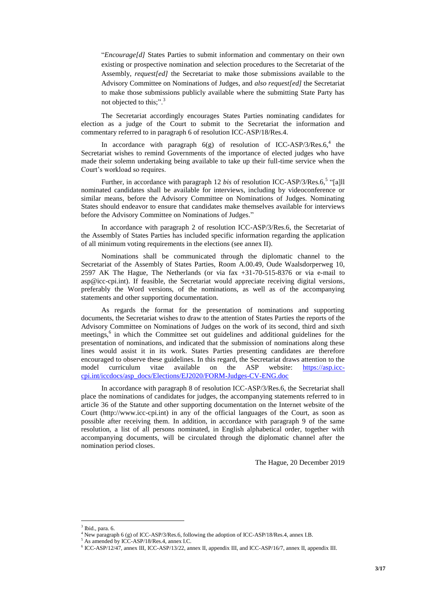"*Encourage[d]* States Parties to submit information and commentary on their own existing or prospective nomination and selection procedures to the Secretariat of the Assembly, *request[ed]* the Secretariat to make those submissions available to the Advisory Committee on Nominations of Judges, and *also request[ed]* the Secretariat to make those submissions publicly available where the submitting State Party has not objected to this;".<sup>3</sup>

The Secretariat accordingly encourages States Parties nominating candidates for election as a judge of the Court to submit to the Secretariat the information and commentary referred to in paragraph 6 of resolution ICC-ASP/18/Res.4.

In accordance with paragraph  $6(g)$  of resolution of ICC-ASP/3/Res. $6,4$  the Secretariat wishes to remind Governments of the importance of elected judges who have made their solemn undertaking being available to take up their full-time service when the Court's workload so requires.

Further, in accordance with paragraph 12 *bis* of resolution ICC-ASP/3/Res.6,<sup>5</sup> "[a]ll nominated candidates shall be available for interviews, including by videoconference or similar means, before the Advisory Committee on Nominations of Judges. Nominating States should endeavor to ensure that candidates make themselves available for interviews before the Advisory Committee on Nominations of Judges."

In accordance with paragraph 2 of resolution ICC-ASP/3/Res.6, the Secretariat of the Assembly of States Parties has included specific information regarding the application of all minimum voting requirements in the elections (see annex II).

Nominations shall be communicated through the diplomatic channel to the Secretariat of the Assembly of States Parties, Room A.00.49, Oude Waalsdorperweg 10, 2597 AK The Hague, The Netherlands (or via fax +31-70-515-8376 or via e-mail to asp@icc-cpi.int). If feasible, the Secretariat would appreciate receiving digital versions, preferably the Word versions, of the nominations, as well as of the accompanying statements and other supporting documentation.

As regards the format for the presentation of nominations and supporting documents, the Secretariat wishes to draw to the attention of States Parties the reports of the Advisory Committee on Nominations of Judges on the work of its second, third and sixth meetings, 6 in which the Committee set out guidelines and additional guidelines for the presentation of nominations, and indicated that the submission of nominations along these lines would assist it in its work. States Parties presenting candidates are therefore encouraged to observe these guidelines. In this regard, the Secretariat draws attention to the model curriculum vitae available on the ASP website: [https://asp.icc](https://asp.icc-cpi.int/iccdocs/asp_docs/Elections/EJ2020/FORM-Judges-CV-ENG.doc)[cpi.int/iccdocs/asp\\_docs/Elections/EJ2020/FORM-Judges-CV-ENG.doc](https://asp.icc-cpi.int/iccdocs/asp_docs/Elections/EJ2020/FORM-Judges-CV-ENG.doc)

In accordance with paragraph 8 of resolution ICC-ASP/3/Res.6, the Secretariat shall place the nominations of candidates for judges, the accompanying statements referred to in article 36 of the Statute and other supporting documentation on the Internet website of the Court (http://www.icc-cpi.int) in any of the official languages of the Court, as soon as possible after receiving them. In addition, in accordance with paragraph 9 of the same resolution, a list of all persons nominated, in English alphabetical order, together with accompanying documents, will be circulated through the diplomatic channel after the nomination period closes.

The Hague, 20 December 2019

<sup>3</sup> Ibid., para. 6.

<sup>&</sup>lt;sup>4</sup> New paragraph 6 (g) of ICC-ASP/3/Res.6, following the adoption of ICC-ASP/18/Res.4, annex I.B.

As amended by ICC-ASP/18/Res.4, annex I.C.

<sup>6</sup> ICC-ASP/12/47, annex III, ICC-ASP/13/22, annex II, appendix III, and ICC-ASP/16/7, annex II, appendix III.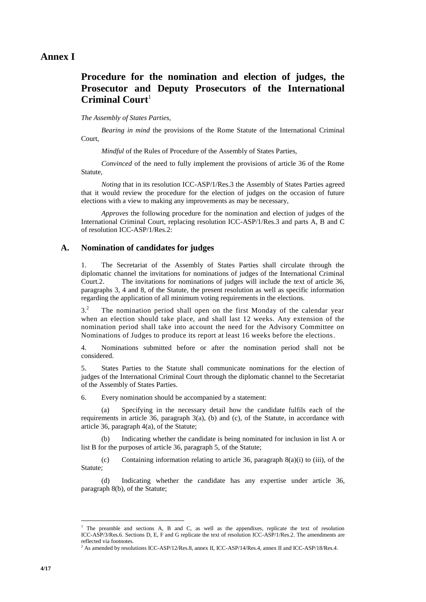## **Procedure for the nomination and election of judges, the Prosecutor and Deputy Prosecutors of the International Criminal Court**<sup>1</sup>

#### *The Assembly of States Parties,*

*Bearing in mind* the provisions of the Rome Statute of the International Criminal Court,

*Mindful* of the Rules of Procedure of the Assembly of States Parties,

*Convinced* of the need to fully implement the provisions of article 36 of the Rome Statute,

*Noting* that in its resolution ICC-ASP/1/Res.3 the Assembly of States Parties agreed that it would review the procedure for the election of judges on the occasion of future elections with a view to making any improvements as may be necessary,

*Approves* the following procedure for the nomination and election of judges of the International Criminal Court, replacing resolution ICC-ASP/1/Res.3 and parts A, B and C of resolution ICC-ASP/1/Res.2:

## **A. Nomination of candidates for judges**

1. The Secretariat of the Assembly of States Parties shall circulate through the diplomatic channel the invitations for nominations of judges of the International Criminal Court.2. The invitations for nominations of judges will include the text of article 36, paragraphs 3, 4 and 8, of the Statute, the present resolution as well as specific information regarding the application of all minimum voting requirements in the elections.

 $3<sup>2</sup>$  The nomination period shall open on the first Monday of the calendar year when an election should take place, and shall last 12 weeks. Any extension of the nomination period shall take into account the need for the Advisory Committee on Nominations of Judges to produce its report at least 16 weeks before the elections.

4. Nominations submitted before or after the nomination period shall not be considered.

5. States Parties to the Statute shall communicate nominations for the election of judges of the International Criminal Court through the diplomatic channel to the Secretariat of the Assembly of States Parties.

6. Every nomination should be accompanied by a statement:

(a) Specifying in the necessary detail how the candidate fulfils each of the requirements in article 36, paragraph 3(a), (b) and (c), of the Statute, in accordance with article 36, paragraph 4(a), of the Statute;

(b) Indicating whether the candidate is being nominated for inclusion in list A or list B for the purposes of article 36, paragraph 5, of the Statute;

(c) Containing information relating to article 36, paragraph  $8(a)(i)$  to (iii), of the Statute;

(d) Indicating whether the candidate has any expertise under article 36, paragraph 8(b), of the Statute;

<sup>1</sup> The preamble and sections A, B and C, as well as the appendixes, replicate the text of resolution ICC-ASP/3/Res.6. Sections D, E, F and G replicate the text of resolution ICC-ASP/1/Res.2. The amendments are reflected via footnotes.

<sup>2</sup> As amended by resolutions ICC-ASP/12/Res.8, annex II, ICC-ASP/14/Res.4, annex II and ICC-ASP/18/Res.4.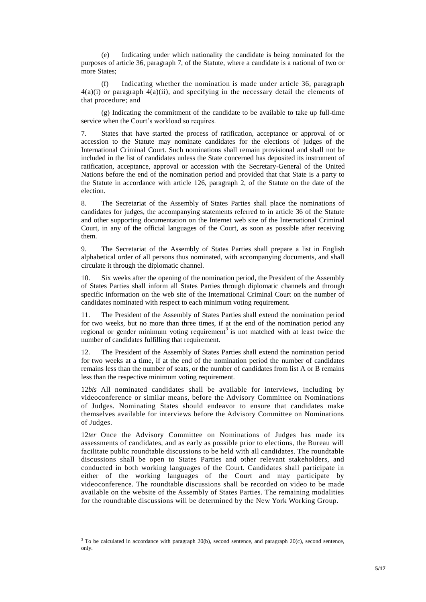(e) Indicating under which nationality the candidate is being nominated for the purposes of article 36, paragraph 7, of the Statute, where a candidate is a national of two or more States:

(f) Indicating whether the nomination is made under article 36, paragraph  $4(a)(i)$  or paragraph  $4(a)(ii)$ , and specifying in the necessary detail the elements of that procedure; and

(g) Indicating the commitment of the candidate to be available to take up full-time service when the Court's workload so requires.

7. States that have started the process of ratification, acceptance or approval of or accession to the Statute may nominate candidates for the elections of judges of the International Criminal Court. Such nominations shall remain provisional and shall not be included in the list of candidates unless the State concerned has deposited its instrument of ratification, acceptance, approval or accession with the Secretary-General of the United Nations before the end of the nomination period and provided that that State is a party to the Statute in accordance with article 126, paragraph 2, of the Statute on the date of the election.

8. The Secretariat of the Assembly of States Parties shall place the nominations of candidates for judges, the accompanying statements referred to in article 36 of the Statute and other supporting documentation on the Internet web site of the International Criminal Court, in any of the official languages of the Court, as soon as possible after receiving them.

9. The Secretariat of the Assembly of States Parties shall prepare a list in English alphabetical order of all persons thus nominated, with accompanying documents, and shall circulate it through the diplomatic channel.

10. Six weeks after the opening of the nomination period, the President of the Assembly of States Parties shall inform all States Parties through diplomatic channels and through specific information on the web site of the International Criminal Court on the number of candidates nominated with respect to each minimum voting requirement.

11. The President of the Assembly of States Parties shall extend the nomination period for two weeks, but no more than three times, if at the end of the nomination period any regional or gender minimum voting requirement<sup>3</sup> is not matched with at least twice the number of candidates fulfilling that requirement.

12. The President of the Assembly of States Parties shall extend the nomination period for two weeks at a time, if at the end of the nomination period the number of candidates remains less than the number of seats, or the number of candidates from list A or B remains less than the respective minimum voting requirement.

12*bis* All nominated candidates shall be available for interviews, including by videoconference or similar means, before the Advisory Committee on Nominations of Judges. Nominating States should endeavor to ensure that candidates make themselves available for interviews before the Advisory Committee on Nominations of Judges.

12*ter* Once the Advisory Committee on Nominations of Judges has made its assessments of candidates, and as early as possible prior to elections, the Bureau will facilitate public roundtable discussions to be held with all candidates. The roundtable discussions shall be open to States Parties and other relevant stakeholders, and conducted in both working languages of the Court. Candidates shall participate in either of the working languages of the Court and may participate by videoconference. The roundtable discussions shall be recorded on video to be made available on the website of the Assembly of States Parties. The remaining modalities for the roundtable discussions will be determined by the New York Working Group.

<sup>&</sup>lt;sup>3</sup> To be calculated in accordance with paragraph 20(b), second sentence, and paragraph 20(c), second sentence, only.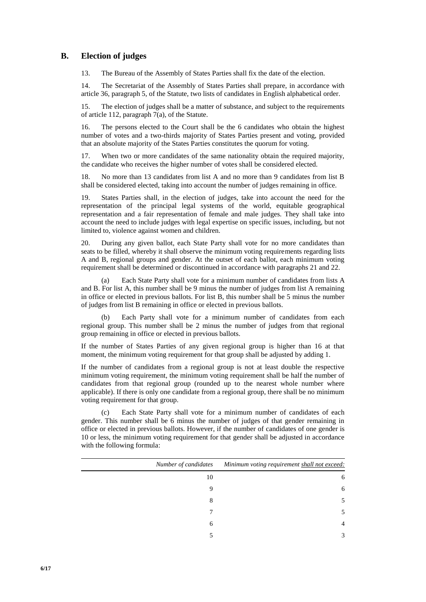## **B. Election of judges**

13. The Bureau of the Assembly of States Parties shall fix the date of the election.

14. The Secretariat of the Assembly of States Parties shall prepare, in accordance with article 36, paragraph 5, of the Statute, two lists of candidates in English alphabetical order.

15. The election of judges shall be a matter of substance, and subject to the requirements of article 112, paragraph  $7(a)$ , of the Statute.

16. The persons elected to the Court shall be the 6 candidates who obtain the highest number of votes and a two-thirds majority of States Parties present and voting, provided that an absolute majority of the States Parties constitutes the quorum for voting.

17. When two or more candidates of the same nationality obtain the required majority, the candidate who receives the higher number of votes shall be considered elected.

18. No more than 13 candidates from list A and no more than 9 candidates from list B shall be considered elected, taking into account the number of judges remaining in office.

19. States Parties shall, in the election of judges, take into account the need for the representation of the principal legal systems of the world, equitable geographical representation and a fair representation of female and male judges. They shall take into account the need to include judges with legal expertise on specific issues, including, but not limited to, violence against women and children.

20. During any given ballot, each State Party shall vote for no more candidates than seats to be filled, whereby it shall observe the minimum voting requirements regarding lists A and B, regional groups and gender. At the outset of each ballot, each minimum voting requirement shall be determined or discontinued in accordance with paragraphs 21 and 22.

(a) Each State Party shall vote for a minimum number of candidates from lists A and B. For list A, this number shall be 9 minus the number of judges from list A remaining in office or elected in previous ballots. For list B, this number shall be 5 minus the number of judges from list B remaining in office or elected in previous ballots.

(b) Each Party shall vote for a minimum number of candidates from each regional group. This number shall be 2 minus the number of judges from that regional group remaining in office or elected in previous ballots.

If the number of States Parties of any given regional group is higher than 16 at that moment, the minimum voting requirement for that group shall be adjusted by adding 1.

If the number of candidates from a regional group is not at least double the respective minimum voting requirement, the minimum voting requirement shall be half the number of candidates from that regional group (rounded up to the nearest whole number where applicable). If there is only one candidate from a regional group, there shall be no minimum voting requirement for that group.

(c) Each State Party shall vote for a minimum number of candidates of each gender. This number shall be 6 minus the number of judges of that gender remaining in office or elected in previous ballots. However, if the number of candidates of one gender is 10 or less, the minimum voting requirement for that gender shall be adjusted in accordance with the following formula:

| Number of candidates | Minimum voting requirement shall not exceed: |
|----------------------|----------------------------------------------|
| 10                   | 6                                            |
| Q                    | 6                                            |
| 8                    |                                              |
|                      |                                              |
| 6                    | 4                                            |
|                      | 3                                            |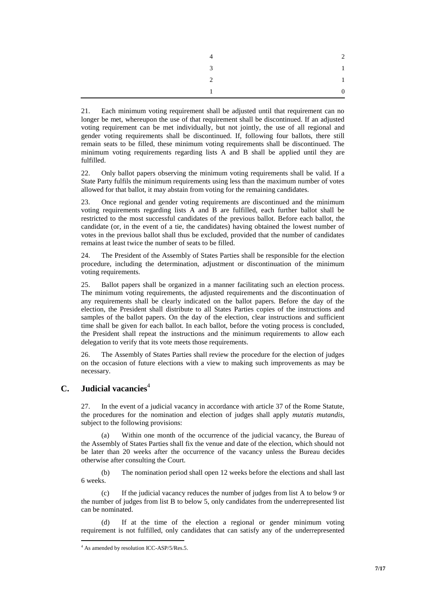|                | $\sim$<br>∠  |
|----------------|--------------|
| $3^{12}$       | $\mathbf{1}$ |
| $\overline{2}$ | $\mathbf{1}$ |
|                |              |

21. Each minimum voting requirement shall be adjusted until that requirement can no longer be met, whereupon the use of that requirement shall be discontinued. If an adjusted voting requirement can be met individually, but not jointly, the use of all regional and gender voting requirements shall be discontinued. If, following four ballots, there still remain seats to be filled, these minimum voting requirements shall be discontinued. The minimum voting requirements regarding lists A and B shall be applied until they are fulfilled.

22. Only ballot papers observing the minimum voting requirements shall be valid. If a State Party fulfils the minimum requirements using less than the maximum number of votes allowed for that ballot, it may abstain from voting for the remaining candidates.

23. Once regional and gender voting requirements are discontinued and the minimum voting requirements regarding lists A and B are fulfilled, each further ballot shall be restricted to the most successful candidates of the previous ballot. Before each ballot, the candidate (or, in the event of a tie, the candidates) having obtained the lowest number of votes in the previous ballot shall thus be excluded, provided that the number of candidates remains at least twice the number of seats to be filled.

24. The President of the Assembly of States Parties shall be responsible for the election procedure, including the determination, adjustment or discontinuation of the minimum voting requirements.

25. Ballot papers shall be organized in a manner facilitating such an election process. The minimum voting requirements, the adjusted requirements and the discontinuation of any requirements shall be clearly indicated on the ballot papers. Before the day of the election, the President shall distribute to all States Parties copies of the instructions and samples of the ballot papers. On the day of the election, clear instructions and sufficient time shall be given for each ballot. In each ballot, before the voting process is concluded, the President shall repeat the instructions and the minimum requirements to allow each delegation to verify that its vote meets those requirements.

26. The Assembly of States Parties shall review the procedure for the election of judges on the occasion of future elections with a view to making such improvements as may be necessary.

## **C. Judicial vacancies**<sup>4</sup>

 $\overline{a}$ 

27. In the event of a judicial vacancy in accordance with article 37 of the Rome Statute, the procedures for the nomination and election of judges shall apply *mutatis mutandis*, subject to the following provisions:

(a) Within one month of the occurrence of the judicial vacancy, the Bureau of the Assembly of States Parties shall fix the venue and date of the election, which should not be later than 20 weeks after the occurrence of the vacancy unless the Bureau decides otherwise after consulting the Court.

(b) The nomination period shall open 12 weeks before the elections and shall last 6 weeks.

(c) If the judicial vacancy reduces the number of judges from list A to below 9 or the number of judges from list B to below 5, only candidates from the underrepresented list can be nominated.

(d) If at the time of the election a regional or gender minimum voting requirement is not fulfilled, only candidates that can satisfy any of the underrepresented

<sup>4</sup> As amended by resolution ICC-ASP/5/Res.5.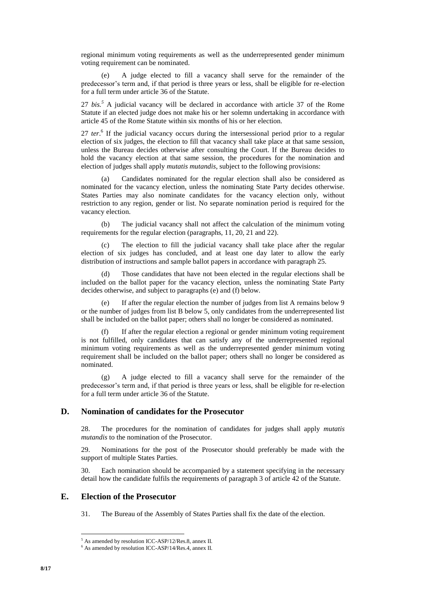regional minimum voting requirements as well as the underrepresented gender minimum voting requirement can be nominated.

(e) A judge elected to fill a vacancy shall serve for the remainder of the predecessor's term and, if that period is three years or less, shall be eligible for re-election for a full term under article 36 of the Statute.

27 *bis.<sup>5</sup>* A judicial vacancy will be declared in accordance with article 37 of the Rome Statute if an elected judge does not make his or her solemn undertaking in accordance with article 45 of the Rome Statute within six months of his or her election.

27 ter.<sup>6</sup> If the judicial vacancy occurs during the intersessional period prior to a regular election of six judges, the election to fill that vacancy shall take place at that same session, unless the Bureau decides otherwise after consulting the Court. If the Bureau decides to hold the vacancy election at that same session, the procedures for the nomination and election of judges shall apply *mutatis mutandis*, subject to the following provisions:

(a) Candidates nominated for the regular election shall also be considered as nominated for the vacancy election, unless the nominating State Party decides otherwise. States Parties may also nominate candidates for the vacancy election only, without restriction to any region, gender or list. No separate nomination period is required for the vacancy election.

(b) The judicial vacancy shall not affect the calculation of the minimum voting requirements for the regular election (paragraphs, 11, 20, 21 and 22).

(c) The election to fill the judicial vacancy shall take place after the regular election of six judges has concluded, and at least one day later to allow the early distribution of instructions and sample ballot papers in accordance with paragraph 25.

(d) Those candidates that have not been elected in the regular elections shall be included on the ballot paper for the vacancy election, unless the nominating State Party decides otherwise, and subject to paragraphs (e) and (f) below.

If after the regular election the number of judges from list A remains below  $9$ or the number of judges from list B below 5, only candidates from the underrepresented list shall be included on the ballot paper; others shall no longer be considered as nominated.

(f) If after the regular election a regional or gender minimum voting requirement is not fulfilled, only candidates that can satisfy any of the underrepresented regional minimum voting requirements as well as the underrepresented gender minimum voting requirement shall be included on the ballot paper; others shall no longer be considered as nominated.

(g) A judge elected to fill a vacancy shall serve for the remainder of the predecessor's term and, if that period is three years or less, shall be eligible for re-election for a full term under article 36 of the Statute.

## **D. Nomination of candidates for the Prosecutor**

28. The procedures for the nomination of candidates for judges shall apply *mutatis mutandis* to the nomination of the Prosecutor.

29. Nominations for the post of the Prosecutor should preferably be made with the support of multiple States Parties.

30. Each nomination should be accompanied by a statement specifying in the necessary detail how the candidate fulfils the requirements of paragraph 3 of article 42 of the Statute.

#### **E. Election of the Prosecutor**

31. The Bureau of the Assembly of States Parties shall fix the date of the election.

<sup>5</sup> As amended by resolution ICC-ASP/12/Res.8, annex II.

<sup>&</sup>lt;sup>6</sup> As amended by resolution ICC-ASP/14/Res.4, annex II.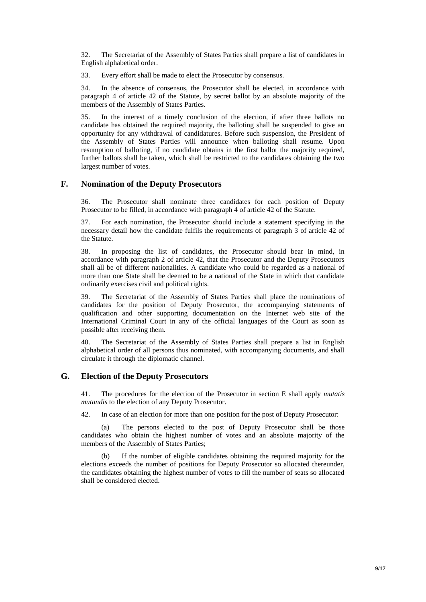32. The Secretariat of the Assembly of States Parties shall prepare a list of candidates in English alphabetical order.

33. Every effort shall be made to elect the Prosecutor by consensus.

34. In the absence of consensus, the Prosecutor shall be elected, in accordance with paragraph 4 of article 42 of the Statute, by secret ballot by an absolute majority of the members of the Assembly of States Parties.

35. In the interest of a timely conclusion of the election, if after three ballots no candidate has obtained the required majority, the balloting shall be suspended to give an opportunity for any withdrawal of candidatures. Before such suspension, the President of the Assembly of States Parties will announce when balloting shall resume. Upon resumption of balloting, if no candidate obtains in the first ballot the majority required, further ballots shall be taken, which shall be restricted to the candidates obtaining the two largest number of votes.

## **F. Nomination of the Deputy Prosecutors**

36. The Prosecutor shall nominate three candidates for each position of Deputy Prosecutor to be filled, in accordance with paragraph 4 of article 42 of the Statute.

37. For each nomination, the Prosecutor should include a statement specifying in the necessary detail how the candidate fulfils the requirements of paragraph 3 of article 42 of the Statute.

38. In proposing the list of candidates, the Prosecutor should bear in mind, in accordance with paragraph 2 of article 42, that the Prosecutor and the Deputy Prosecutors shall all be of different nationalities. A candidate who could be regarded as a national of more than one State shall be deemed to be a national of the State in which that candidate ordinarily exercises civil and political rights.

39. The Secretariat of the Assembly of States Parties shall place the nominations of candidates for the position of Deputy Prosecutor, the accompanying statements of qualification and other supporting documentation on the Internet web site of the International Criminal Court in any of the official languages of the Court as soon as possible after receiving them.

40. The Secretariat of the Assembly of States Parties shall prepare a list in English alphabetical order of all persons thus nominated, with accompanying documents, and shall circulate it through the diplomatic channel.

## **G. Election of the Deputy Prosecutors**

41. The procedures for the election of the Prosecutor in section E shall apply *mutatis mutandis* to the election of any Deputy Prosecutor.

42. In case of an election for more than one position for the post of Deputy Prosecutor:

(a) The persons elected to the post of Deputy Prosecutor shall be those candidates who obtain the highest number of votes and an absolute majority of the members of the Assembly of States Parties;

If the number of eligible candidates obtaining the required majority for the elections exceeds the number of positions for Deputy Prosecutor so allocated thereunder, the candidates obtaining the highest number of votes to fill the number of seats so allocated shall be considered elected.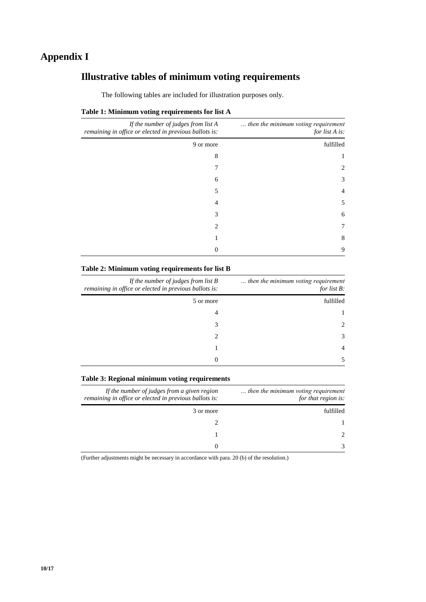# **Appendix I**

# **Illustrative tables of minimum voting requirements**

| then the minimum voting requirement<br>for list A is: | If the number of judges from $list A$<br>remaining in office or elected in previous ballots is: |  |
|-------------------------------------------------------|-------------------------------------------------------------------------------------------------|--|
| fulfilled                                             | 9 or more                                                                                       |  |
|                                                       | 8                                                                                               |  |
| $\mathcal{D}_{\mathcal{L}}$                           |                                                                                                 |  |
| 3                                                     | 6                                                                                               |  |
| 4                                                     | 5                                                                                               |  |
| 5                                                     | 4                                                                                               |  |
| 6                                                     | 3                                                                                               |  |
| 7                                                     | 2                                                                                               |  |
| 8                                                     |                                                                                                 |  |
| 9                                                     |                                                                                                 |  |

## **Table 1: Minimum voting requirements for list A**

### **Table 2: Minimum voting requirements for list B**

| then the minimum voting requirement<br>for list $B$ : | If the number of judges from list $B$<br>remaining in office or elected in previous ballots is: |  |
|-------------------------------------------------------|-------------------------------------------------------------------------------------------------|--|
| fulfilled                                             | 5 or more                                                                                       |  |
|                                                       | 4                                                                                               |  |
| $\mathcal{D}_{\mathcal{L}}$                           | 3                                                                                               |  |
| $\mathcal{F}$                                         | 2                                                                                               |  |
| 4                                                     |                                                                                                 |  |
|                                                       | 0                                                                                               |  |

### **Table 3: Regional minimum voting requirements**

| then the minimum voting requirement<br>for that region is: | If the number of judges from a given region<br>remaining in office or elected in previous ballots is: |  |
|------------------------------------------------------------|-------------------------------------------------------------------------------------------------------|--|
| fulfilled                                                  | 3 or more                                                                                             |  |
|                                                            |                                                                                                       |  |
| $\mathcal{D}$                                              |                                                                                                       |  |
| $\mathcal{R}$                                              | $\mathbf{0}$                                                                                          |  |

(Further adjustments might be necessary in accordance with para. 20 (b) of the resolution.)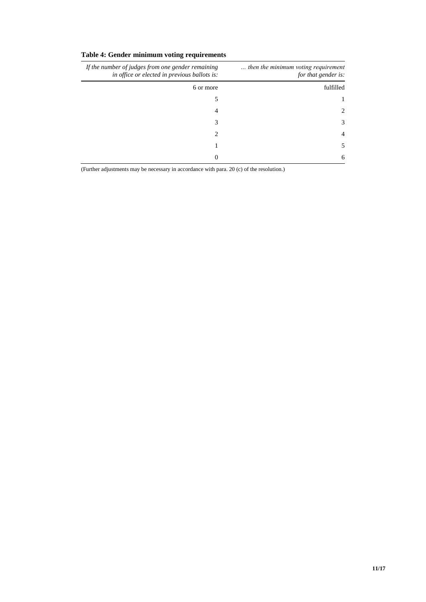## **Table 4: Gender minimum voting requirements**

| then the minimum voting requirement<br>for that gender is: | If the number of judges from one gender remaining<br>in office or elected in previous ballots is: |  |
|------------------------------------------------------------|---------------------------------------------------------------------------------------------------|--|
| fulfilled                                                  | 6 or more                                                                                         |  |
|                                                            |                                                                                                   |  |
| 2                                                          | 4                                                                                                 |  |
| 3                                                          | 3                                                                                                 |  |
| 4                                                          | $\mathfrak{D}_{\mathfrak{p}}$                                                                     |  |
| 5                                                          |                                                                                                   |  |
| 6                                                          | 0                                                                                                 |  |

(Further adjustments may be necessary in accordance with para. 20 (c) of the resolution.)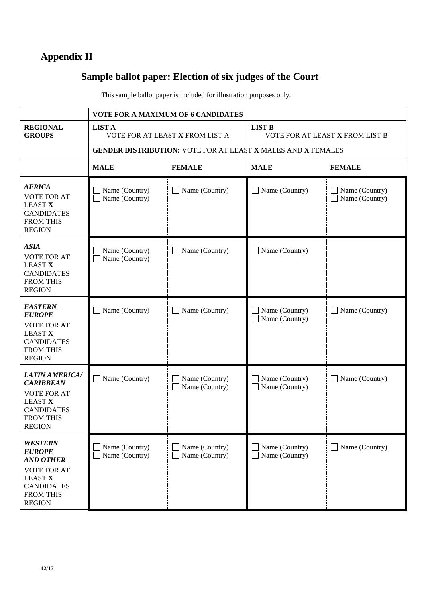# **Appendix II**

# **Sample ballot paper: Election of six judges of the Court**

This sample ballot paper is included for illustration purposes only.

|                                                                                                                                                       | <b>VOTE FOR A MAXIMUM OF 6 CANDIDATES</b>                           |                                  |                                                              |                                  |
|-------------------------------------------------------------------------------------------------------------------------------------------------------|---------------------------------------------------------------------|----------------------------------|--------------------------------------------------------------|----------------------------------|
| <b>REGIONAL</b><br><b>GROUPS</b>                                                                                                                      | <b>LIST A</b><br>VOTE FOR AT LEAST X FROM LIST A                    |                                  | <b>LIST B</b><br>VOTE FOR AT LEAST X FROM LIST B             |                                  |
|                                                                                                                                                       | <b>GENDER DISTRIBUTION: VOTE FOR AT LEAST X MALES AND X FEMALES</b> |                                  |                                                              |                                  |
|                                                                                                                                                       | <b>MALE</b>                                                         | <b>FEMALE</b>                    | <b>MALE</b>                                                  | <b>FEMALE</b>                    |
| <b>AFRICA</b><br><b>VOTE FOR AT</b><br><b>LEAST X</b><br><b>CANDIDATES</b><br><b>FROM THIS</b><br><b>REGION</b>                                       | Name (Country)<br>Name (Country)                                    | Name (Country)                   | Name (Country)<br>$\blacksquare$                             | Name (Country)<br>Name (Country) |
| <b>ASIA</b><br><b>VOTE FOR AT</b><br><b>LEAST X</b><br><b>CANDIDATES</b><br><b>FROM THIS</b><br><b>REGION</b>                                         | Name (Country)<br>Name (Country)                                    | Name (Country)                   | $\Box$ Name (Country)                                        |                                  |
| <b>EASTERN</b><br><b>EUROPE</b><br><b>VOTE FOR AT</b><br><b>LEAST X</b><br><b>CANDIDATES</b><br><b>FROM THIS</b><br><b>REGION</b>                     | Name (Country)                                                      | Name (Country)                   | Name (Country)<br>π<br>Name (Country)                        | $\Box$ Name (Country)            |
| <b>LATIN AMERICA/</b><br><b>CARIBBEAN</b><br><b>VOTE FOR AT</b><br><b>LEAST X</b><br><b>CANDIDATES</b><br><b>FROM THIS</b><br><b>REGION</b>           | $\Box$ Name (Country)                                               | Name (Country)<br>Name (Country) | Name (Country)<br>Name (Country)<br>$\overline{\phantom{a}}$ | $\Box$ Name (Country)            |
| <b>WESTERN</b><br><b>EUROPE</b><br><b>AND OTHER</b><br><b>VOTE FOR AT</b><br><b>LEAST X</b><br><b>CANDIDATES</b><br><b>FROM THIS</b><br><b>REGION</b> | Name (Country)<br>Name (Country)                                    | Name (Country)<br>Name (Country) | Name (Country)<br>Name (Country)                             | $\Box$ Name (Country)            |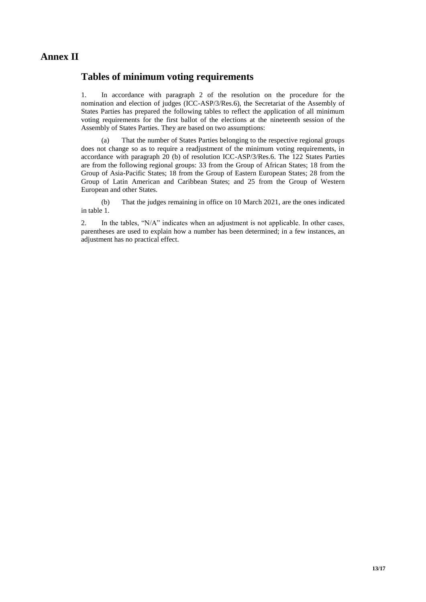## **Annex II**

## **Tables of minimum voting requirements**

1. In accordance with paragraph 2 of the resolution on the procedure for the nomination and election of judges (ICC-ASP/3/Res.6), the Secretariat of the Assembly of States Parties has prepared the following tables to reflect the application of all minimum voting requirements for the first ballot of the elections at the nineteenth session of the Assembly of States Parties. They are based on two assumptions:

(a) That the number of States Parties belonging to the respective regional groups does not change so as to require a readjustment of the minimum voting requirements, in accordance with paragraph 20 (b) of resolution ICC-ASP/3/Res.6. The 122 States Parties are from the following regional groups: 33 from the Group of African States; 18 from the Group of Asia-Pacific States; 18 from the Group of Eastern European States; 28 from the Group of Latin American and Caribbean States; and 25 from the Group of Western European and other States.

(b) That the judges remaining in office on 10 March 2021, are the ones indicated in table 1.

2. In the tables, "N/A" indicates when an adjustment is not applicable. In other cases, parentheses are used to explain how a number has been determined; in a few instances, an adjustment has no practical effect.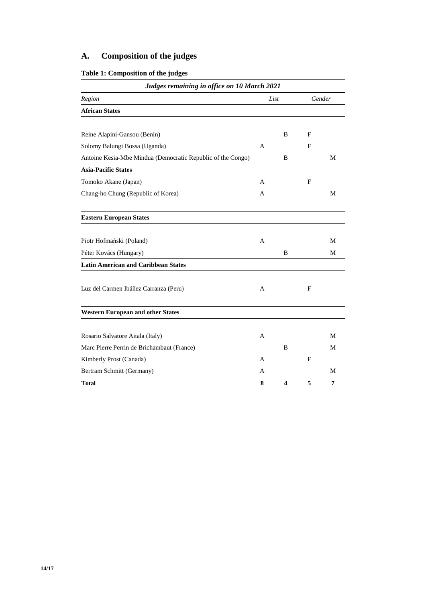# **A. Composition of the judges**

## **Table 1: Composition of the judges**

| Judges remaining in office on 10 March 2021                 |   |   |   |        |  |
|-------------------------------------------------------------|---|---|---|--------|--|
| Region<br>List                                              |   |   |   | Gender |  |
| <b>African States</b>                                       |   |   |   |        |  |
|                                                             |   |   |   |        |  |
| Reine Alapini-Gansou (Benin)                                |   | B | F |        |  |
| Solomy Balungi Bossa (Uganda)                               | A |   | F |        |  |
| Antoine Kesia-Mbe Mindua (Democratic Republic of the Congo) |   | B |   | М      |  |
| <b>Asia-Pacific States</b>                                  |   |   |   |        |  |
| Tomoko Akane (Japan)                                        | A |   | F |        |  |
| Chang-ho Chung (Republic of Korea)                          | A |   |   | М      |  |
| <b>Eastern European States</b>                              |   |   |   |        |  |
| Piotr Hofmański (Poland)                                    | A |   |   | М      |  |
| Péter Kovács (Hungary)                                      |   | B |   | М      |  |
| <b>Latin American and Caribbean States</b>                  |   |   |   |        |  |
| Luz del Carmen Ibáñez Carranza (Peru)                       | A |   | F |        |  |
| <b>Western European and other States</b>                    |   |   |   |        |  |
|                                                             |   |   |   |        |  |
| Rosario Salvatore Aitala (Italy)                            | A |   |   | M      |  |
| Marc Pierre Perrin de Brichambaut (France)                  |   | B |   | М      |  |
| Kimberly Prost (Canada)                                     | A |   | F |        |  |
| Bertram Schmitt (Germany)                                   | A |   |   | M      |  |
| Total                                                       | 8 | 4 | 5 | 7      |  |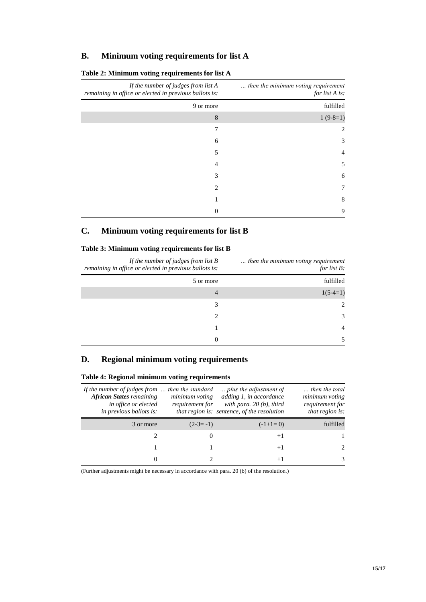## **B. Minimum voting requirements for list A**

| then the minimum voting requirement<br>for list A is: | If the number of judges from $list A$<br>remaining in office or elected in previous ballots is: |  |  |
|-------------------------------------------------------|-------------------------------------------------------------------------------------------------|--|--|
| fulfilled                                             | 9 or more                                                                                       |  |  |
| $1(9-8=1)$                                            | 8                                                                                               |  |  |
| 2                                                     | 7                                                                                               |  |  |
| 3                                                     | 6                                                                                               |  |  |
| 4                                                     | 5                                                                                               |  |  |
| 5                                                     | 4                                                                                               |  |  |
| 6                                                     | 3                                                                                               |  |  |
| 7                                                     | 2                                                                                               |  |  |
| 8                                                     |                                                                                                 |  |  |
| 9                                                     | 0                                                                                               |  |  |

## **Table 2: Minimum voting requirements for list A**

## **C. Minimum voting requirements for list B**

### **Table 3: Minimum voting requirements for list B**

| then the minimum voting requirement<br>for list $B$ : | If the number of judges from list $B$<br>remaining in office or elected in previous ballots is: |  |
|-------------------------------------------------------|-------------------------------------------------------------------------------------------------|--|
| fulfilled                                             | 5 or more                                                                                       |  |
| $1(5-4=1)$                                            | 4                                                                                               |  |
| $2^{1}$                                               | 3                                                                                               |  |
| $\mathcal{F}$                                         | 2                                                                                               |  |
| 4                                                     |                                                                                                 |  |
|                                                       | 0                                                                                               |  |

## **D. Regional minimum voting requirements**

| If the number of judges from  then the standard<br><b>African States remaining</b><br>in office or elected<br><i>in previous ballots is:</i> | minimum voting<br>requirement for | plus the adjustment of<br>adding 1, in accordance<br>with para. $20(b)$ , third<br>that region is: sentence, of the resolution | then the total<br>minimum voting<br>requirement for<br>that region is: |
|----------------------------------------------------------------------------------------------------------------------------------------------|-----------------------------------|--------------------------------------------------------------------------------------------------------------------------------|------------------------------------------------------------------------|
| 3 or more                                                                                                                                    | $(2-3=-1)$                        | $(-1+1=0)$                                                                                                                     | fulfilled                                                              |
|                                                                                                                                              | $\theta$                          | $+1$                                                                                                                           |                                                                        |
|                                                                                                                                              |                                   | $+1$                                                                                                                           |                                                                        |
| $\mathbf{\Omega}$                                                                                                                            |                                   | $+1$                                                                                                                           |                                                                        |

## **Table 4: Regional minimum voting requirements**

(Further adjustments might be necessary in accordance with para. 20 (b) of the resolution.)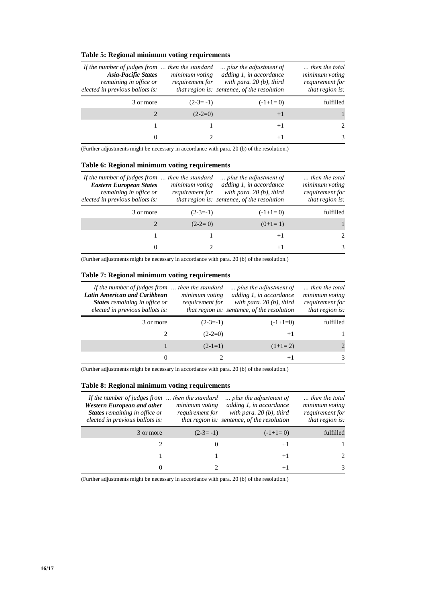### **Table 5: Regional minimum voting requirements**

| If the number of judges from<br><b>Asia-Pacific States</b><br>remaining in office or<br>elected in previous ballots is: | then the standard<br>$\ddotsc$<br>minimum voting<br>requirement for | plus the adjustment of<br>adding 1, in accordance<br>with para. $20(b)$ , third<br>that region is: sentence, of the resolution | then the total<br>minimum voting<br>requirement for<br>that region is: |
|-------------------------------------------------------------------------------------------------------------------------|---------------------------------------------------------------------|--------------------------------------------------------------------------------------------------------------------------------|------------------------------------------------------------------------|
| 3 or more                                                                                                               | $(2-3=-1)$                                                          | $(-1+1=0)$                                                                                                                     | fulfilled                                                              |
|                                                                                                                         | $(2-2=0)$                                                           | $+1$                                                                                                                           |                                                                        |
|                                                                                                                         |                                                                     | $+1$                                                                                                                           | $\mathfrak{D}$                                                         |
|                                                                                                                         |                                                                     | $+1$                                                                                                                           | 3                                                                      |

(Further adjustments might be necessary in accordance with para. 20 (b) of the resolution.)

#### **Table 6: Regional minimum voting requirements**

| If the number of judges from  then the standard<br><b>Eastern European States</b><br>remaining in office or<br>elected in previous ballots is: | minimum voting<br>requirement for | plus the adjustment of<br>adding 1, in accordance<br>with para. $20(b)$ , third<br>that region is: sentence, of the resolution | then the total<br>minimum voting<br>requirement for<br>that region is: |
|------------------------------------------------------------------------------------------------------------------------------------------------|-----------------------------------|--------------------------------------------------------------------------------------------------------------------------------|------------------------------------------------------------------------|
| 3 or more                                                                                                                                      | $(2-3=-1)$                        | $(-1+1=0)$                                                                                                                     | fulfilled                                                              |
|                                                                                                                                                | $(2-2=0)$                         | $(0+1=1)$                                                                                                                      |                                                                        |
|                                                                                                                                                |                                   | $+1$                                                                                                                           | $\mathcal{L}$                                                          |
| $\theta$                                                                                                                                       |                                   | $+1$                                                                                                                           | 3                                                                      |

(Further adjustments might be necessary in accordance with para. 20 (b) of the resolution.)

#### **Table 7: Regional minimum voting requirements**

| If the number of judges from  then the standard<br>Latin American and Caribbean<br><b>States</b> remaining in office or<br>elected in previous ballots is: | minimum voting<br>requirement for | plus the adjustment of<br>adding 1, in accordance<br>with para, $20(b)$ , third<br>that region is: sentence, of the resolution | then the total<br>minimum voting<br>requirement for<br>that region is: |
|------------------------------------------------------------------------------------------------------------------------------------------------------------|-----------------------------------|--------------------------------------------------------------------------------------------------------------------------------|------------------------------------------------------------------------|
| 3 or more                                                                                                                                                  | $(2-3=-1)$                        | $(-1+1=0)$                                                                                                                     | fulfilled                                                              |
|                                                                                                                                                            | $(2-2=0)$                         | $+1$                                                                                                                           |                                                                        |
|                                                                                                                                                            | $(2-1=1)$                         | $(1+1=2)$                                                                                                                      | 2                                                                      |
| $^{(1)}$                                                                                                                                                   |                                   | $+1$                                                                                                                           | 3                                                                      |

(Further adjustments might be necessary in accordance with para. 20 (b) of the resolution.)

#### **Table 8: Regional minimum voting requirements**

| If the number of judges from $\ldots$ then the standard<br><b>Western European and other</b><br><b>States</b> remaining in office or<br>elected in previous ballots is: | minimum voting<br>requirement for | plus the adjustment of<br>adding 1, in accordance<br>with para, $20(b)$ , third<br>that region is: sentence, of the resolution | then the total<br>minimum voting<br>requirement for<br>that region is: |
|-------------------------------------------------------------------------------------------------------------------------------------------------------------------------|-----------------------------------|--------------------------------------------------------------------------------------------------------------------------------|------------------------------------------------------------------------|
| 3 or more                                                                                                                                                               | $(2-3=-1)$                        | $(-1+1=0)$                                                                                                                     | fulfilled                                                              |
|                                                                                                                                                                         | $\theta$                          | $+1$                                                                                                                           |                                                                        |
|                                                                                                                                                                         |                                   | $+1$                                                                                                                           | $\mathcal{D}_{\mathcal{L}}$                                            |
| $\theta$                                                                                                                                                                |                                   | $+1$                                                                                                                           | 3                                                                      |

(Further adjustments might be necessary in accordance with para. 20 (b) of the resolution.)